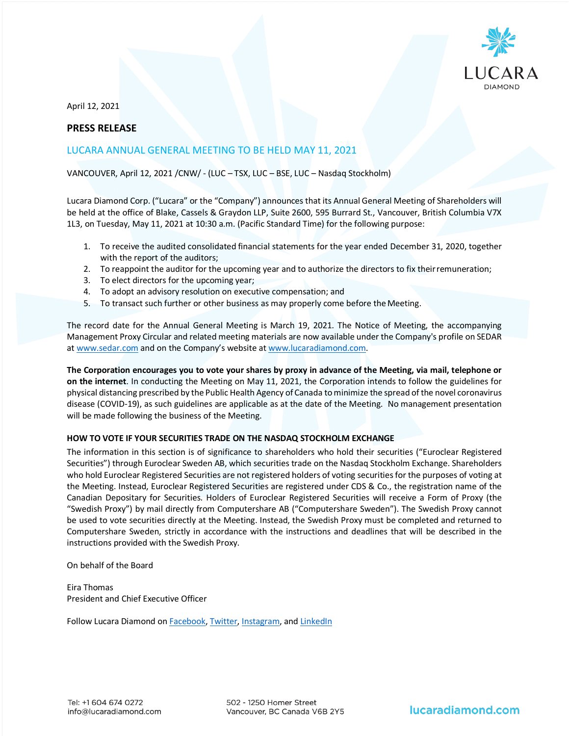

April 12, 2021

## **PRESS RELEASE**

# LUCARA ANNUAL GENERAL MEETING TO BE HELD MAY 11, 2021

### VANCOUVER, April 12, 2021 /CNW/ - (LUC – TSX, LUC – BSE, LUC – Nasdaq Stockholm)

Lucara Diamond Corp. ("Lucara" or the "Company") announces that its Annual General Meeting of Shareholders will be held at the office of Blake, Cassels & Graydon LLP, Suite 2600, 595 Burrard St., Vancouver, British Columbia V7X 1L3, on Tuesday, May 11, 2021 at 10:30 a.m. (Pacific Standard Time) for the following purpose:

- 1. To receive the audited consolidated financial statements for the year ended December 31, 2020, together with the report of the auditors;
- 2. To reappoint the auditor for the upcoming year and to authorize the directors to fix theirremuneration;
- 3. To elect directors for the upcoming year;
- 4. To adopt an advisory resolution on executive compensation; and
- 5. To transact such further or other business as may properly come before the Meeting.

The record date for the Annual General Meeting is March 19, 2021. The Notice of Meeting, the accompanying Management Proxy Circular and related meeting materials are now available under the Company's profile on SEDAR at www.sedar.com and on the Company's website at www.lucaradiamond.com.

**The Corporation encourages you to vote your shares by proxy in advance of the Meeting, via mail, telephone or on the internet**. In conducting the Meeting on May 11, 2021, the Corporation intends to follow the guidelines for physical distancing prescribed by the Public Health Agency of Canada to minimize the spread of the novel coronavirus disease (COVID-19), as such guidelines are applicable as at the date of the Meeting. No management presentation will be made following the business of the Meeting.

#### **HOW TO VOTE IF YOUR SECURITIES TRADE ON THE NASDAQ STOCKHOLM EXCHANGE**

The information in this section is of significance to shareholders who hold their securities ("Euroclear Registered Securities") through Euroclear Sweden AB, which securities trade on the Nasdaq Stockholm Exchange. Shareholders who hold Euroclear Registered Securities are not registered holders of voting securities for the purposes of voting at the Meeting. Instead, Euroclear Registered Securities are registered under CDS & Co., the registration name of the Canadian Depositary for Securities. Holders of Euroclear Registered Securities will receive a Form of Proxy (the "Swedish Proxy") by mail directly from Computershare AB ("Computershare Sweden"). The Swedish Proxy cannot be used to vote securities directly at the Meeting. Instead, the Swedish Proxy must be completed and returned to Computershare Sweden, strictly in accordance with the instructions and deadlines that will be described in the instructions provided with the Swedish Proxy.

On behalf of the Board

Eira Thomas President and Chief Executive Officer

Follow Lucara Diamond o[n Facebook,](https://www.facebook.com/LucaraDiamond/) [Twitter,](https://twitter.com/LucaraDiamond) [Instagram,](https://www.instagram.com/lucaradiamond/) and [LinkedIn](https://www.linkedin.com/company/lucara-diamond-corp-)